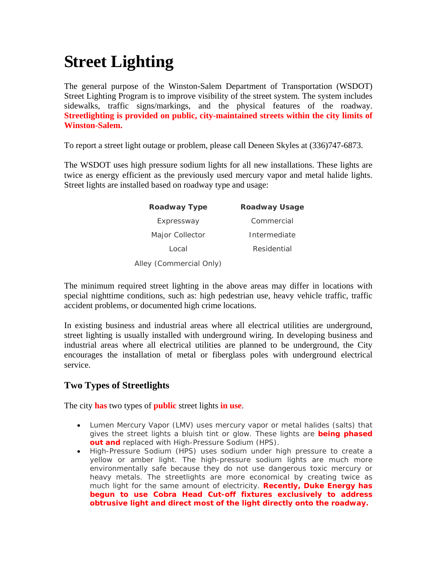# **Street Lighting**

The general purpose of the Winston-Salem Department of Transportation (WSDOT) Street Lighting Program is to improve visibility of the street system. The system includes sidewalks, traffic signs/markings, and the physical features of the roadway. **Streetlighting is provided on public, city-maintained streets within the city limits of Winston-Salem.** 

To report a street light outage or problem, please call Deneen Skyles at (336)747-6873.

The WSDOT uses high pressure sodium lights for all new installations. These lights are twice as energy efficient as the previously used mercury vapor and metal halide lights. Street lights are installed based on roadway type and usage:

| <b>Roadway Type</b>     | <b>Roadway Usage</b> |
|-------------------------|----------------------|
| Expressway              | Commercial           |
| Major Collector         | Intermediate         |
| Local                   | Residential          |
| Alley (Commercial Only) |                      |

The minimum required street lighting in the above areas may differ in locations with special nighttime conditions, such as: high pedestrian use, heavy vehicle traffic, traffic accident problems, or documented high crime locations.

In existing business and industrial areas where all electrical utilities are underground, street lighting is usually installed with underground wiring. In developing business and industrial areas where all electrical utilities are planned to be underground, the City encourages the installation of metal or fiberglass poles with underground electrical service.

## **Two Types of Streetlights**

The city **has** two types of **public** street lights **in use**.

- Lumen Mercury Vapor (LMV) uses mercury vapor or metal halides (salts) that gives the street lights a bluish tint or glow. These lights are **being phased out and** replaced with High-Pressure Sodium (HPS).
- High-Pressure Sodium (HPS) uses sodium under high pressure to create a yellow or amber light. The high-pressure sodium lights are much more environmentally safe because they do not use dangerous toxic mercury or heavy metals. The streetlights are more economical by creating twice as much light for the same amount of electricity. **Recently, Duke Energy has begun to use Cobra Head Cut-off fixtures exclusively to address obtrusive light and direct most of the light directly onto the roadway.**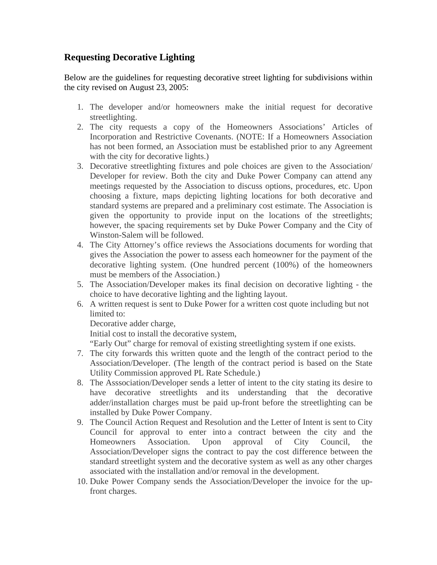### **Requesting Decorative Lighting**

Below are the guidelines for requesting decorative street lighting for subdivisions within the city revised on August 23, 2005:

- 1. The developer and/or homeowners make the initial request for decorative streetlighting.
- 2. The city requests a copy of the Homeowners Associations' Articles of Incorporation and Restrictive Covenants. (NOTE: If a Homeowners Association has not been formed, an Association must be established prior to any Agreement with the city for decorative lights.)
- 3. Decorative streetlighting fixtures and pole choices are given to the Association/ Developer for review. Both the city and Duke Power Company can attend any meetings requested by the Association to discuss options, procedures, etc. Upon choosing a fixture, maps depicting lighting locations for both decorative and standard systems are prepared and a preliminary cost estimate. The Association is given the opportunity to provide input on the locations of the streetlights; however, the spacing requirements set by Duke Power Company and the City of Winston-Salem will be followed.
- 4. The City Attorney's office reviews the Associations documents for wording that gives the Association the power to assess each homeowner for the payment of the decorative lighting system. (One hundred percent (100%) of the homeowners must be members of the Association.)
- 5. The Association/Developer makes its final decision on decorative lighting the choice to have decorative lighting and the lighting layout.
- 6. A written request is sent to Duke Power for a written cost quote including but not limited to:

Decorative adder charge,

Initial cost to install the decorative system,

"Early Out" charge for removal of existing streetlighting system if one exists.

- 7. The city forwards this written quote and the length of the contract period to the Association/Developer. (The length of the contract period is based on the State Utility Commission approved PL Rate Schedule.)
- 8. The Asssociation/Developer sends a letter of intent to the city stating its desire to have decorative streetlights and its understanding that the decorative adder/installation charges must be paid up-front before the streetlighting can be installed by Duke Power Company.
- 9. The Council Action Request and Resolution and the Letter of Intent is sent to City Council for approval to enter into a contract between the city and the Homeowners Association. Upon approval of City Council, the Association/Developer signs the contract to pay the cost difference between the standard streetlight system and the decorative system as well as any other charges associated with the installation and/or removal in the development.
- 10. Duke Power Company sends the Association/Developer the invoice for the upfront charges.